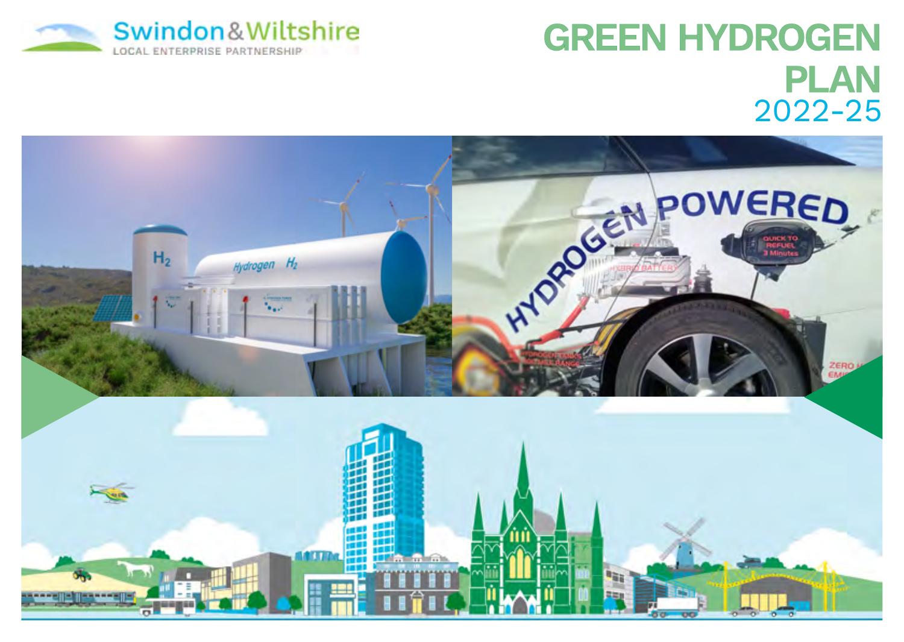

# GREEN HYDROGEN PLAN 2022-25

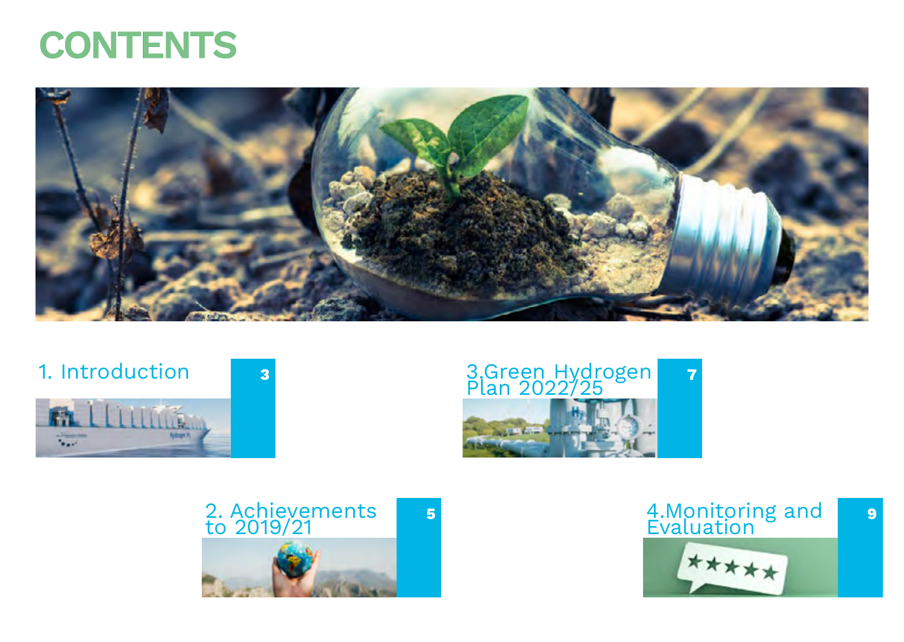<span id="page-1-0"></span>



# 1. Introduction 3







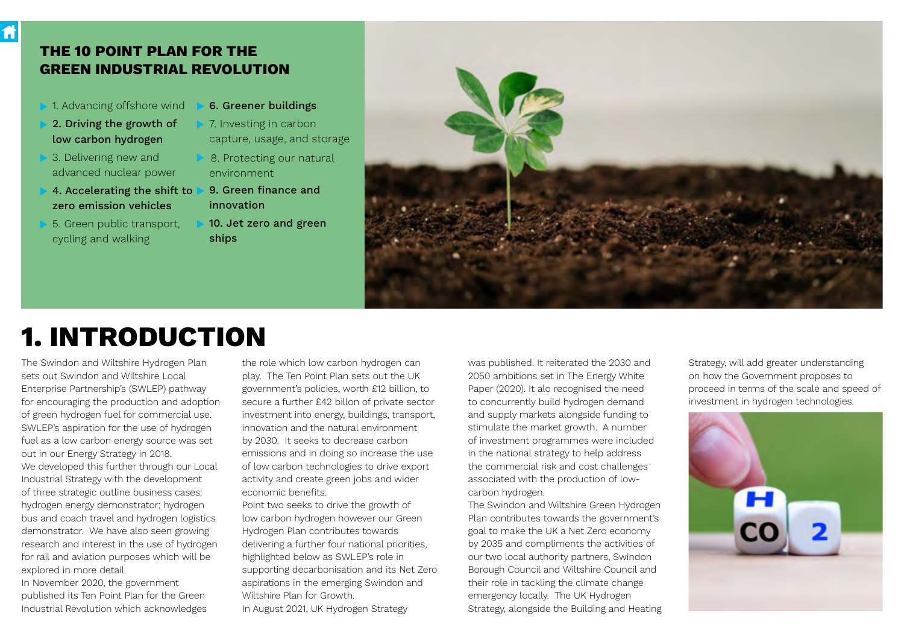# THE 10 POINT PLAN FOR THE GREEN INDUSTRIAL REVOLUTION

- 1. Advancing offshore wind
- 2. Driving the growth of low carbon hydrogen

Ħ

- 3. Delivering new and advanced nuclear power
- 4. Accelerating the shift to zero emission vehicles
- 5. Green public transport, cycling and walking
- 6. Greener buildings
- 7. Investing in carbon capture, usage, and storage
- 8. Protecting our natural environment
- 9. Green finance and innovation
- 10. Jet zero and green ships



# 1. INTRODUCTION

The Swindon and Wiltshire Hydrogen Plan sets out Swindon and Wiltshire Local Enterprise Partnership's (SWLEP) pathway for encouraging the production and adoption of green hydrogen fuel for commercial use. SWLEP's aspiration for the use of hydrogen fuel as a low carbon energy source was set out in our Energy Strategy in 2018. We developed this further through our Local Industrial Strategy with the development of three strategic outline business cases: hydrogen energy demonstrator; hydrogen bus and coach travel and hydrogen logistics demonstrator. We have also seen growing research and interest in the use of hydrogen for rail and aviation purposes which will be explored in more detail.

In November 2020, the government published its Ten Point Plan for the Green Industrial Revolution which acknowledges the role which low carbon hydrogen can play. The Ten Point Plan sets out the UK government's policies, worth £12 billion, to secure a further £42 billon of private sector investment into energy, buildings, transport, innovation and the natural environment by 2030. It seeks to decrease carbon emissions and in doing so increase the use of low carbon technologies to drive export activity and create green jobs and wider economic benefits.

Point two seeks to drive the growth of low carbon hydrogen however our Green Hydrogen Plan contributes towards delivering a further four national priorities, highlighted below as SWLEP's role in supporting decarbonisation and its Net Zero aspirations in the emerging Swindon and Wiltshire Plan for Growth. In August 2021, UK Hydrogen Strategy

was published. It reiterated the 2030 and 2050 ambitions set in The Energy White Paper (2020). It alo recognised the need to concurrently build hydrogen demand and supply markets alongside funding to stimulate the market growth. A number of investment programmes were included in the national strategy to help address the commercial risk and cost challenges associated with the production of lowcarbon hydrogen.

The Swindon and Wiltshire Green Hydrogen Plan contributes towards the government's goal to make the UK a Net Zero economy by 2035 and compliments the activities of our two local authority partners, Swindon Borough Council and Wiltshire Council and their role in tackling the climate change emergency locally. The UK Hydrogen Strategy, alongside the Building and Heating Strategy, will add greater understanding on how the Government proposes to proceed in terms of the scale and speed of investment in hydrogen technologies.

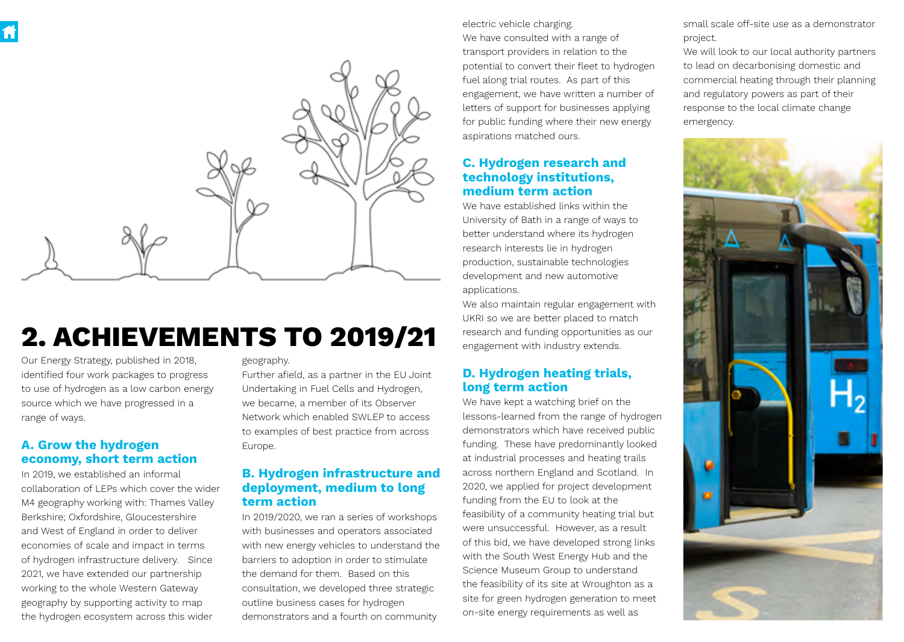

# 2. ACHIEVEMENTS TO 2019/21

Our Energy Strategy, published in 2018, identified four work packages to progress to use of hydrogen as a low carbon energy source which we have progressed in a range of ways.

# A. Grow the hydrogen economy, short term action

In 2019, we established an informal collaboration of LEPs which cover the wider M4 geography working with: Thames Valley Berkshire; Oxfordshire, Gloucestershire and West of England in order to deliver economies of scale and impact in terms of hydrogen infrastructure delivery. Since 2021, we have extended our partnership working to the whole Western Gateway geography by supporting activity to map the hydrogen ecosystem across this wider

geography.

Further afield, as a partner in the EU Joint Undertaking in Fuel Cells and Hydrogen, we became, a member of its Observer Network which enabled SWLEP to access to examples of best practice from across Europe.

# B. Hydrogen infrastructure and deployment, medium to long term action

In 2019/2020, we ran a series of workshops with businesses and operators associated with new energy vehicles to understand the barriers to adoption in order to stimulate the demand for them. Based on this consultation, we developed three strategic outline business cases for hydrogen demonstrators and a fourth on community

electric vehicle charging.

We have consulted with a range of transport providers in relation to the potential to convert their fleet to hydrogen fuel along trial routes. As part of this engagement, we have written a number of letters of support for businesses applying for public funding where their new energy aspirations matched ours.

## C. Hydrogen research and technology institutions, medium term action

We have established links within the University of Bath in a range of ways to better understand where its hydrogen research interests lie in hydrogen production, sustainable technologies development and new automotive applications.

We also maintain regular engagement with UKRI so we are better placed to match research and funding opportunities as our engagement with industry extends.

# D. Hydrogen heating trials, long term action

We have kept a watching brief on the lessons-learned from the range of hydrogen demonstrators which have received public funding. These have predominantly looked at industrial processes and heating trails across northern England and Scotland. In 2020, we applied for project development funding from the EU to look at the feasibility of a community heating trial but were unsuccessful. However, as a result of this bid, we have developed strong links with the South West Energy Hub and the Science Museum Group to understand the feasibility of its site at Wroughton as a site for green hydrogen generation to meet on-site energy requirements as well as

small scale off-site use as a demonstrator project.

We will look to our local authority partners to lead on decarbonising domestic and commercial heating through their planning and regulatory powers as part of their response to the local climate change emergency.

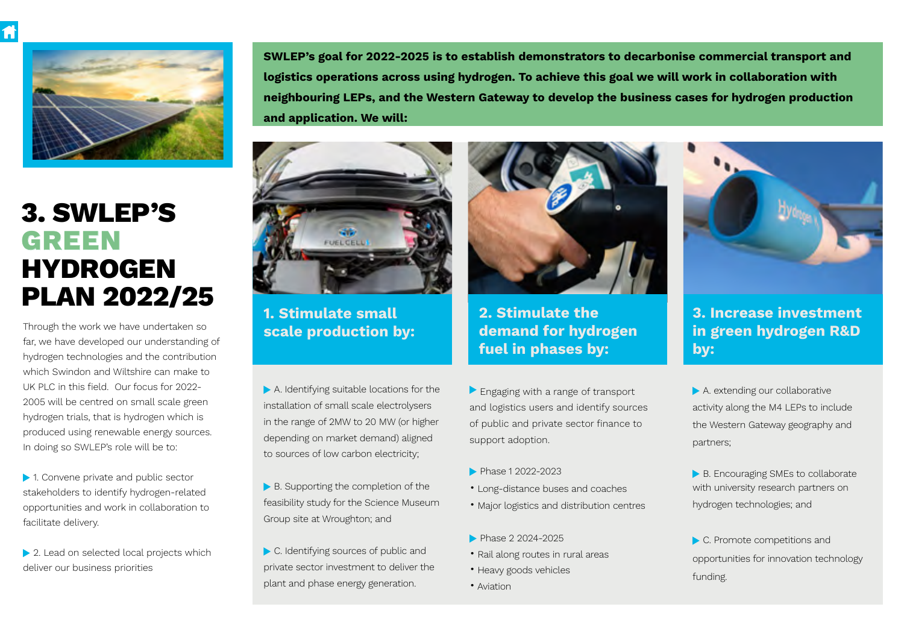

# 3. SWLEP'S GREEN **HYDROGEN** PLAN 2022/25

Through the work we have undertaken so far, we have developed our understanding of hydrogen technologies and the contribution which Swindon and Wiltshire can make to UK PLC in this field. Our focus for 2022- 2005 will be centred on small scale green hydrogen trials, that is hydrogen which is produced using renewable energy sources. In doing so SWLEP's role will be to:

▶ 1. Convene private and public sector stakeholders to identify hydrogen-related opportunities and work in collaboration to facilitate delivery.

▶ 2. Lead on selected local projects which deliver our business priorities

SWLEP's goal for 2022-2025 is to establish demonstrators to decarbonise commercial transport and logistics operations across using hydrogen. To achieve this goal we will work in collaboration with neighbouring LEPs, and the Western Gateway to develop the business cases for hydrogen production and application. We will:



1. Stimulate small scale production by:

A. Identifying suitable locations for the installation of small scale electrolysers in the range of 2MW to 20 MW (or higher depending on market demand) aligned to sources of low carbon electricity;

- ▶ B. Supporting the completion of the feasibility study for the Science Museum Group site at Wroughton; and
- C. Identifying sources of public and private sector investment to deliver the plant and phase energy generation.



2. Stimulate the demand for hydrogen fuel in phases by:

- Engaging with a range of transport and logistics users and identify sources of public and private sector finance to support adoption.
- **Phase 1 2022-2023**
- Long-distance buses and coaches
- Major logistics and distribution centres
- Phase 2 2024-2025
- Rail along routes in rural areas
- Heavy goods vehicles
- Aviation



3. Increase investment in green hydrogen R&D by:

A. extending our collaborative activity along the M4 LEPs to include the Western Gateway geography and partners;

B. Encouraging SMEs to collaborate with university research partners on hydrogen technologies; and

C. Promote competitions and opportunities for innovation technology funding.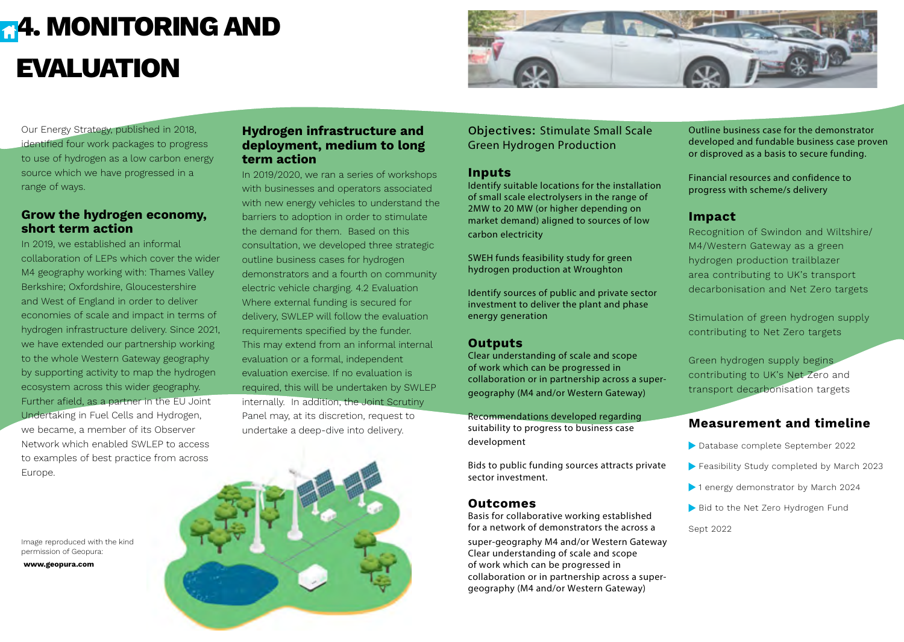# **[4](#page-1-0)4. MONITORING AND** EVALUATION



Our Energy Strategy, published in 2018, identified four work packages to progress to use of hydrogen as a low carbon energy source which we have progressed in a range of ways.

## Grow the hydrogen economy, short term action

In 2019, we established an informal collaboration of LEPs which cover the wider M4 geography working with: Thames Valley Berkshire; Oxfordshire, Gloucestershire and West of England in order to deliver economies of scale and impact in terms of hydrogen infrastructure delivery. Since 2021, we have extended our partnership working to the whole Western Gateway geography by supporting activity to map the hydrogen ecosystem across this wider geography. Further afield, as a partner in the EU Joint Undertaking in Fuel Cells and Hydrogen, we became, a member of its Observer Network which enabled SWLEP to access to examples of best practice from across Europe.

Image reproduced with the kind permission of Geopura:

www.geopura.com

# Hydrogen infrastructure and deployment, medium to long term action

In 2019/2020, we ran a series of workshops with businesses and operators associated with new energy vehicles to understand the barriers to adoption in order to stimulate the demand for them. Based on this consultation, we developed three strategic outline business cases for hydrogen demonstrators and a fourth on community electric vehicle charging. 4.2 Evaluation Where external funding is secured for delivery, SWLEP will follow the evaluation requirements specified by the funder. This may extend from an informal internal evaluation or a formal, independent evaluation exercise. If no evaluation is required, this will be undertaken by SWLEP internally. In addition, the Joint Scrutiny Panel may, at its discretion, request to undertake a deep-dive into delivery.

Objectives: Stimulate Small Scale Green Hydrogen Production

#### Inputs

Identify suitable locations for the installation of small scale electrolysers in the range of 2MW to 20 MW (or higher depending on market demand) aligned to sources of low carbon electricity

SWEH funds feasibility study for green hydrogen production at Wroughton

Identify sources of public and private sector investment to deliver the plant and phase energy generation

## **Outputs**

Clear understanding of scale and scope of work which can be progressed in collaboration or in partnership across a supergeography (M4 and/or Western Gateway)

Recommendations developed regarding suitability to progress to business case development

Bids to public funding sources attracts private sector investment.

## **Outcomes**

Basis for collaborative working established for a network of demonstrators the across a

super-geography M4 and/or Western Gateway Clear understanding of scale and scope of work which can be progressed in collaboration or in partnership across a supergeography (M4 and/or Western Gateway)

Outline business case for the demonstrator developed and fundable business case proven or disproved as a basis to secure funding.

Financial resources and confidence to progress with scheme/s delivery

# Impact

Recognition of Swindon and Wiltshire/ M4/Western Gateway as a green hydrogen production trailblazer area contributing to UK's transport decarbonisation and Net Zero targets

Stimulation of green hydrogen supply contributing to Net Zero targets

Green hydrogen supply begins contributing to UK's Net Zero and transport decarbonisation targets

# Measurement and timeline

- Database complete September 2022
- Feasibility Study completed by March 2023
- ▶ 1 energy demonstrator by March 2024
- Bid to the Net Zero Hydrogen Fund

Sept 2022